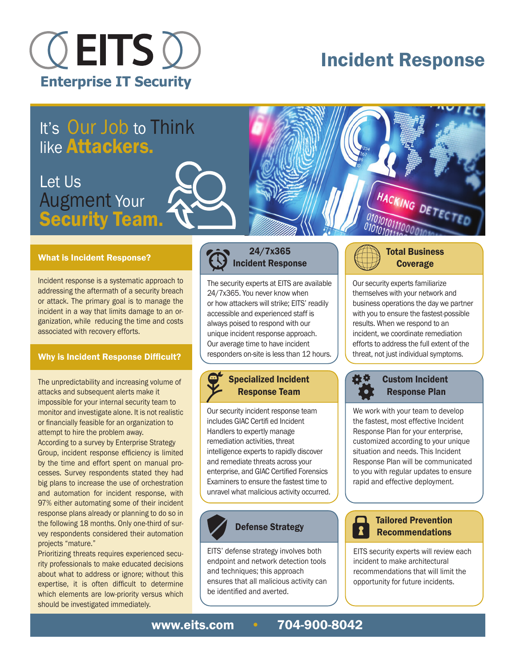

# Incident Response

# It's Our Job to Think like Attackers.

## Let Us Augment Your Security Team.

#### What is Incident Response?

Incident response is a systematic approach to addressing the aftermath of a security breach or attack. The primary goal is to manage the incident in a way that limits damage to an organization, while reducing the time and costs associated with recovery efforts.

#### Why is Incident Response Difficult?

The unpredictability and increasing volume of attacks and subsequent alerts make it impossible for your internal security team to monitor and investigate alone. It is not realistic or financially feasible for an organization to attempt to hire the problem away.

According to a survey by Enterprise Strategy Group, incident response efficiency is limited by the time and effort spent on manual processes. Survey respondents stated they had big plans to increase the use of orchestration and automation for incident response, with 97% either automating some of their incident response plans already or planning to do so in the following 18 months. Only one-third of survey respondents considered their automation projects "mature."

Prioritizing threats requires experienced security professionals to make educated decisions about what to address or ignore; without this expertise, it is often difficult to determine which elements are low-priority versus which should be investigated immediately.

### 24/7x365 Incident Response

The security experts at EITS are available 24/7x365. You never know when or how attackers will strike; EITS' readily accessible and experienced staff is always poised to respond with our unique incident response approach. Our average time to have incident responders on-site is less than 12 hours.

## Specialized Incident Response Team

Our security incident response team includes GIAC Certifi ed Incident Handlers to expertly manage remediation activities, threat intelligence experts to rapidly discover and remediate threats across your enterprise, and GIAC Certified Forensics Examiners to ensure the fastest time to unravel what malicious activity occurred.



EITS' defense strategy involves both endpoint and network detection tools and techniques; this approach ensures that all malicious activity can be identified and averted.



Our security experts familiarize themselves with your network and business operations the day we partner with you to ensure the fastest-possible results. When we respond to an incident, we coordinate remediation efforts to address the full extent of the threat, not just individual symptoms.

HACKING DETECTED



### Custom Incident Response Plan

We work with your team to develop the fastest, most effective Incident Response Plan for your enterprise, customized according to your unique situation and needs. This Incident Response Plan will be communicated to you with regular updates to ensure rapid and effective deployment.



#### Defense Strategy **Tailored Prevention** Recommendations

EITS security experts will review each incident to make architectural recommendations that will limit the opportunity for future incidents.